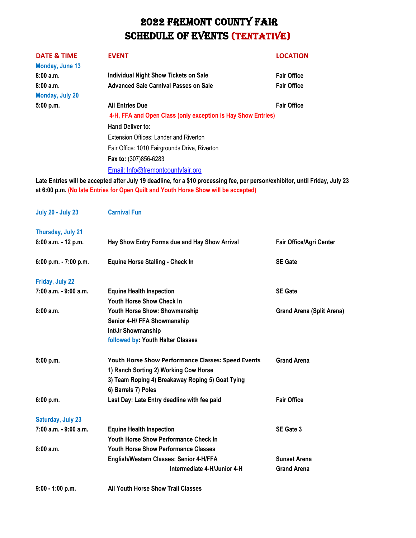| <b>DATE &amp; TIME</b> | <b>EVENT</b>                                                                                                              | <b>LOCATION</b>    |  |
|------------------------|---------------------------------------------------------------------------------------------------------------------------|--------------------|--|
| Monday, June 13        |                                                                                                                           |                    |  |
| 8:00a.m.               | <b>Individual Night Show Tickets on Sale</b>                                                                              | <b>Fair Office</b> |  |
| 8:00a.m.               | <b>Advanced Sale Carnival Passes on Sale</b>                                                                              | <b>Fair Office</b> |  |
| Monday, July 20        |                                                                                                                           |                    |  |
| 5:00 p.m.              | <b>All Entries Due</b>                                                                                                    | <b>Fair Office</b> |  |
|                        | 4-H, FFA and Open Class (only exception is Hay Show Entries)                                                              |                    |  |
|                        | <b>Hand Deliver to:</b>                                                                                                   |                    |  |
|                        | Extension Offices: Lander and Riverton                                                                                    |                    |  |
|                        | Fair Office: 1010 Fairgrounds Drive, Riverton                                                                             |                    |  |
|                        | Fax to: (307)856-6283                                                                                                     |                    |  |
|                        | Email: Info@fremontcountyfair.org                                                                                         |                    |  |
|                        | Late Entrice will be accepted after July 10 deadline, for a \$10 processing fee, nor person/exhibitor, until Eriday, July |                    |  |

**Late Entries will be accepted after July 19 deadline, for a \$10 processing fee, per person/exhibitor, until Friday, July 23 at 6:00 p.m. (No late Entries for Open Quilt and Youth Horse Show will be accepted)**

| <b>July 20 - July 23</b> | <b>Carnival Fun</b>                                                                                                                                                    |                                  |
|--------------------------|------------------------------------------------------------------------------------------------------------------------------------------------------------------------|----------------------------------|
| Thursday, July 21        |                                                                                                                                                                        |                                  |
| 8:00 a.m. - 12 p.m.      | Hay Show Entry Forms due and Hay Show Arrival                                                                                                                          | Fair Office/Agri Center          |
| 6:00 p.m. - 7:00 p.m.    | <b>Equine Horse Stalling - Check In</b>                                                                                                                                | <b>SE Gate</b>                   |
| Friday, July 22          |                                                                                                                                                                        |                                  |
| 7:00 a.m. - 9:00 a.m.    | <b>Equine Health Inspection</b><br><b>Youth Horse Show Check In</b>                                                                                                    | <b>SE Gate</b>                   |
| 8:00a.m.                 | Youth Horse Show: Showmanship<br>Senior 4-H/ FFA Showmanship<br>Int/Jr Showmanship<br>followed by: Youth Halter Classes                                                | <b>Grand Arena (Split Arena)</b> |
| 5:00 p.m.                | Youth Horse Show Performance Classes: Speed Events<br>1) Ranch Sorting 2) Working Cow Horse<br>3) Team Roping 4) Breakaway Roping 5) Goat Tying<br>6) Barrels 7) Poles | <b>Grand Arena</b>               |
| 6:00 p.m.                | Last Day: Late Entry deadline with fee paid                                                                                                                            | <b>Fair Office</b>               |
| <b>Saturday, July 23</b> |                                                                                                                                                                        |                                  |
| 7:00 a.m. - 9:00 a.m.    | <b>Equine Health Inspection</b><br><b>Youth Horse Show Performance Check In</b>                                                                                        | SE Gate 3                        |
| 8:00a.m.                 | <b>Youth Horse Show Performance Classes</b>                                                                                                                            |                                  |
|                          | English/Western Classes: Senior 4-H/FFA                                                                                                                                | <b>Sunset Arena</b>              |
|                          | Intermediate 4-H/Junior 4-H                                                                                                                                            | <b>Grand Arena</b>               |
| $9:00 - 1:00 p.m.$       | <b>All Youth Horse Show Trail Classes</b>                                                                                                                              |                                  |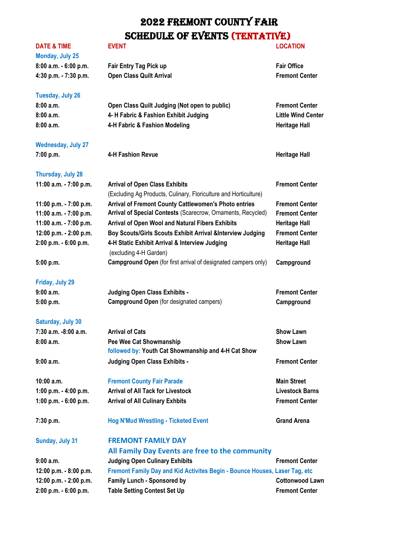**8.00 Fair Entry Tag Pick up Fair Office 4:30 p.m. Class Quilt Arrival** *Arrival**Fremont Center* 

#### **DATE & TIME EVENT LOCATION**

| Monday, July 25       |  |  |
|-----------------------|--|--|
| 8:00 a.m. - 6:00 p.m. |  |  |
| 4:30 p.m. - 7:30 p.m. |  |  |

### **Tuesday, July 26**

| <b>IUCOUAV, JUIV LU</b> |                                               |                           |
|-------------------------|-----------------------------------------------|---------------------------|
| 8:00 a.m.               | Open Class Quilt Judging (Not open to public) | <b>Fremont Center</b>     |
| 8:00 a.m.               | 4- H Fabric & Fashion Exhibit Judging         | <b>Little Wind Center</b> |
| 8:00 a.m.               | 4-H Fabric & Fashion Modeling                 | <b>Heritage Hall</b>      |
|                         |                                               |                           |

### **Wednesday, July 27**

**7:00 p.m. 4-H Fashion Revue Heritage Hall** 

#### **Thursday, July 28**

| 11:00 a.m. - 7:00 p.m. | <b>Arrival of Open Class Exhibits</b>                                 | <b>Fremont Center</b> |
|------------------------|-----------------------------------------------------------------------|-----------------------|
|                        | (Excluding Ag Products, Culinary, Floriculture and Horticulture)      |                       |
| 11:00 p.m. - 7:00 p.m. | Arrival of Fremont County Cattlewomen's Photo entries                 | <b>Fremont Center</b> |
| 11:00 a.m. - 7:00 p.m. | Arrival of Special Contests (Scarecrow, Ornaments, Recycled)          | <b>Fremont Center</b> |
| 11:00 a.m. - 7:00 p.m. | Arrival of Open Wool and Natural Fibers Exhibits                      | <b>Heritage Hall</b>  |
| 12:00 p.m. - 2:00 p.m. | Boy Scouts/Girls Scouts Exhibit Arrival &Interview Judging            | <b>Fremont Center</b> |
| 2:00 p.m. - 6:00 p.m.  | 4-H Static Exhibit Arrival & Interview Judging                        | <b>Heritage Hall</b>  |
|                        | (excluding 4-H Garden)                                                |                       |
| 5:00 p.m.              | <b>Campground Open</b> (for first arrival of designated campers only) | Campground            |

#### **Friday, July 29**

| 9:00 a.m. | Judging Open Class Exhibits -                   | <b>Fremont Center</b> |
|-----------|-------------------------------------------------|-----------------------|
| 5:00 p.m. | <b>Campground Open</b> (for designated campers) | Campground            |

#### **Saturday, July 30**

| $7:30$ a.m. $-8:00$ a.m. | <b>Arrival of Cats</b>                              | <b>Show Lawn</b>      |
|--------------------------|-----------------------------------------------------|-----------------------|
| 8:00a.m.                 | Pee Wee Cat Showmanship                             | <b>Show Lawn</b>      |
|                          | followed by: Youth Cat Showmanship and 4-H Cat Show |                       |
| 9:00a.m.                 | Judging Open Class Exhibits -                       | <b>Fremont Center</b> |

### **10:00 a.m. Fremont County Fair Parade Main Street**

**1:00 p.m. - 4:00 p.m. Arrival of All Tack for Livestock Livestock Barns 1:00 p.m. - 6:00 p.m. Arrival of All Culinary Exhbits Fremont Center**

#### **7:30 p.m. Hog N'Mud Wrestling - Ticketed Event Grand Arena**

#### **Sunday, July 31 FREMONT FAMILY DAY**

**All Family Day Events are free to the community** 9:00 a.m. **In the State of Tenacies Additional State of Tenacies Center** Fremont Center **12:00 p.m. - 8:00 p.m. Fremont Family Day and Kid Activites Begin - Bounce Houses, Laser Tag, etc** 12:00 p.m. - 2:00 p.m. Family Lunch - Sponsored by **Conting the Continuity Cottonwood Lawn 2:00 p.m. - 6:00 p.m. Table Setting Contest Set Up Fremont Center**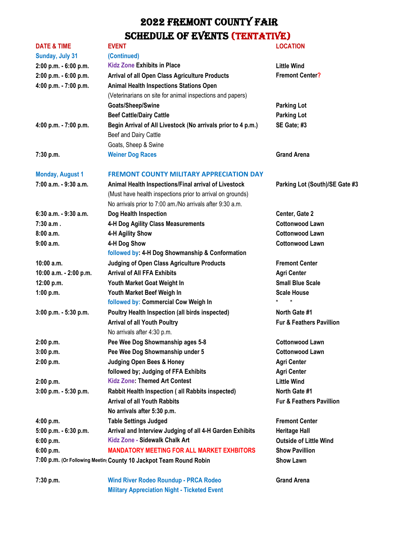| <b>DATE &amp; TIME</b>  | <b>EVENT</b>                                                       | <b>LOCATION</b>                     |
|-------------------------|--------------------------------------------------------------------|-------------------------------------|
| Sunday, July 31         | (Continued)                                                        |                                     |
| 2:00 p.m. - 6:00 p.m.   | <b>Kidz Zone Exhibits in Place</b>                                 | <b>Little Wind</b>                  |
| 2:00 p.m. - 6:00 p.m.   | <b>Arrival of all Open Class Agriculture Products</b>              | <b>Fremont Center?</b>              |
| 4:00 p.m. - 7:00 p.m.   | <b>Animal Health Inspections Stations Open</b>                     |                                     |
|                         | (Veterinarians on site for animal inspections and papers)          |                                     |
|                         | Goats/Sheep/Swine                                                  | <b>Parking Lot</b>                  |
|                         | <b>Beef Cattle/Dairy Cattle</b>                                    | <b>Parking Lot</b>                  |
| 4:00 p.m. - 7:00 p.m.   | Begin Arrival of All Livestock (No arrivals prior to 4 p.m.)       | SE Gate; #3                         |
|                         | Beef and Dairy Cattle                                              |                                     |
|                         | Goats, Sheep & Swine                                               |                                     |
| 7:30 p.m.               | <b>Weiner Dog Races</b>                                            | <b>Grand Arena</b>                  |
| <b>Monday, August 1</b> | <b>FREMONT COUNTY MILITARY APPRECIATION DAY</b>                    |                                     |
| 7:00 a.m. - 9:30 a.m.   | Animal Health Inspections/Final arrival of Livestock               | Parking Lot (South)/SE Gate #3      |
|                         | (Must have health inspections prior to arrival on grounds)         |                                     |
|                         | No arrivals prior to 7:00 am./No arrivals after 9:30 a.m.          |                                     |
| 6:30 a.m. - 9:30 a.m.   | Dog Health Inspection                                              | Center, Gate 2                      |
| $7:30$ a.m.             | 4-H Dog Agility Class Measurements                                 | <b>Cottonwood Lawn</b>              |
| 8:00a.m.                | 4-H Agility Show                                                   | <b>Cottonwood Lawn</b>              |
| $9:00$ a.m.             | 4-H Dog Show                                                       | <b>Cottonwood Lawn</b>              |
|                         | followed by: 4-H Dog Showmanship & Conformation                    |                                     |
| $10:00$ a.m.            | <b>Judging of Open Class Agriculture Products</b>                  | <b>Fremont Center</b>               |
| 10:00 a.m. - 2:00 p.m.  | <b>Arrival of All FFA Exhibits</b>                                 | <b>Agri Center</b>                  |
| 12:00 p.m.              | Youth Market Goat Weight In                                        | <b>Small Blue Scale</b>             |
| 1:00 p.m.               | Youth Market Beef Weigh In                                         | <b>Scale House</b>                  |
|                         | followed by: Commercial Cow Weigh In                               |                                     |
| 3:00 p.m. - 5:30 p.m.   | <b>Poultry Health Inspection (all birds inspected)</b>             | North Gate #1                       |
|                         | <b>Arrival of all Youth Poultry</b>                                | <b>Fur &amp; Feathers Pavillion</b> |
|                         | No arrivals after 4:30 p.m.                                        |                                     |
| 2:00 p.m.               | Pee Wee Dog Showmanship ages 5-8                                   | <b>Cottonwood Lawn</b>              |
| 3:00 p.m.               | Pee Wee Dog Showmanship under 5                                    | <b>Cottonwood Lawn</b>              |
| 2:00 p.m.               | <b>Judging Open Bees &amp; Honey</b>                               | <b>Agri Center</b>                  |
|                         | followed by; Judging of FFA Exhibits                               | <b>Agri Center</b>                  |
| 2:00 p.m.               | <b>Kidz Zone: Themed Art Contest</b>                               | <b>Little Wind</b>                  |
| 3:00 p.m. - 5:30 p.m.   | Rabbit Health Inspection (all Rabbits inspected)                   | North Gate #1                       |
|                         | <b>Arrival of all Youth Rabbits</b>                                | <b>Fur &amp; Feathers Pavillion</b> |
|                         | No arrivals after 5:30 p.m.                                        |                                     |
| 4:00 p.m.               | <b>Table Settings Judged</b>                                       | <b>Fremont Center</b>               |
| 5:00 p.m. - 6:30 p.m.   | Arrival and Interview Judging of all 4-H Garden Exhibits           | <b>Heritage Hall</b>                |
| 6:00 p.m.               | Kidz Zone - Sidewalk Chalk Art                                     | <b>Outside of Little Wind</b>       |
| 6:00 p.m.               | <b>MANDATORY MEETING FOR ALL MARKET EXHBITORS</b>                  | <b>Show Pavillion</b>               |
|                         | 7:00 p.m. (Or Following Meetin( County 10 Jackpot Team Round Robin | <b>Show Lawn</b>                    |
|                         |                                                                    |                                     |

**7:30 p.m. Wind River Rodeo Roundup - PRCA Rodeo Grand Arena Military Appreciation Night - Ticketed Event**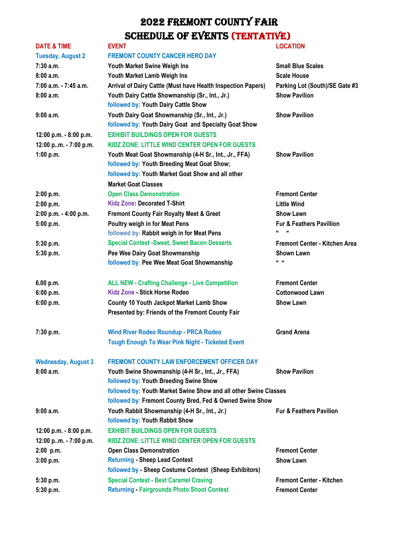| <b>DATE &amp; TIME</b>     | <b>EVENT</b>                                                                                                                 | <b>LOCATION</b>                                       |
|----------------------------|------------------------------------------------------------------------------------------------------------------------------|-------------------------------------------------------|
| <b>Tuesday, August 2</b>   | <b>FREMONT COUNTY CANCER HERO DAY</b>                                                                                        |                                                       |
| 7:30 a.m.                  | Youth Market Swine Weigh Ins                                                                                                 | <b>Small Blue Scales</b>                              |
| 8:00a.m.                   | Youth Market Lamb Weigh Ins                                                                                                  | <b>Scale House</b>                                    |
| 7:00 a.m. - 7:45 a.m.      | Arrival of Dairy Cattle (Must have Health Inspection Papers)                                                                 | Parking Lot (South)/SE Gate #3                        |
| 8:00a.m.                   | Youth Dairy Cattle Showmanship (Sr., Int., Jr.)<br>followed by: Youth Dairy Cattle Show                                      | <b>Show Pavilion</b>                                  |
| 9:00a.m.                   | Youth Dairy Goat Showmanship (Sr., Int., Jr.)<br>followed by: Youth Dairy Goat and Specialty Goat Show                       | <b>Show Pavilion</b>                                  |
| 12:00 p.m. - 8:00 p.m.     | <b>EXHIBIT BUILDINGS OPEN FOR GUESTS</b>                                                                                     |                                                       |
| 12:00 p.m. - 7:00 p.m.     | KIDZ ZONE: LITTLE WIND CENTER OPEN FOR GUESTS                                                                                |                                                       |
| 1:00 p.m.                  | Youth Meat Goat Showmanship (4-H Sr., Int., Jr., FFA)<br>followed by: Youth Breeding Meat Goat Show;                         | <b>Show Pavilion</b>                                  |
|                            | followed by: Youth Market Goat Show and all other                                                                            |                                                       |
|                            | <b>Market Goat Classes</b>                                                                                                   |                                                       |
| 2:00 p.m.                  | <b>Open Class Demonstration</b>                                                                                              | <b>Fremont Center</b>                                 |
| 2:00 p.m.                  | <b>Kidz Zone: Decorated T-Shirt</b>                                                                                          | <b>Little Wind</b>                                    |
| 2:00 p.m. - 4:00 p.m.      | <b>Fremont County Fair Royalty Meet &amp; Greet</b>                                                                          | <b>Show Lawn</b>                                      |
| 5:00 p.m.                  | Poultry weigh in for Meat Pens<br>followed by: Rabbit weigh in for Meat Pens                                                 | <b>Fur &amp; Feathers Pavillion</b><br>$\blacksquare$ |
| 5:30 p.m.                  | <b>Special Contest -Sweet, Sweet Bacon Desserts</b>                                                                          | Fremont Center - Kitchen Area                         |
| 5:30 p.m.                  | Pee Wee Dairy Goat Showmanship<br>followed by: Pee Wee Meat Goat Showmanship                                                 | <b>Shown Lawn</b><br>$\mathbf{u}$ $\mathbf{u}$        |
| 6.00 p.m.                  | <b>ALL NEW - Crafting Challenge - Live Competition</b>                                                                       | <b>Fremont Center</b>                                 |
| 6:00 p.m.                  | Kidz Zone - Stick Horse Rodeo                                                                                                | <b>Cottonwood Lawn</b>                                |
| 6:00 p.m.                  | County 10 Youth Jackpot Market Lamb Show                                                                                     | <b>Show Lawn</b>                                      |
|                            | Presented by: Friends of the Fremont County Fair                                                                             |                                                       |
| 7:30 p.m.                  | <b>Wind River Rodeo Roundup - PRCA Rodeo</b>                                                                                 | <b>Grand Arena</b>                                    |
|                            | <b>Tough Enough To Wear Pink Night - Ticketed Event</b>                                                                      |                                                       |
| <b>Wednesday, August 3</b> | FREMONT COUNTY LAW ENFORCEMENT OFFICER DAY                                                                                   |                                                       |
| 8:00a.m.                   | Youth Swine Showmanship (4-H Sr., Int., Jr., FFA)                                                                            | <b>Show Pavilion</b>                                  |
|                            | followed by: Youth Breeding Swine Show                                                                                       |                                                       |
|                            | followed by: Youth Market Swine Show and all other Swine Classes<br>followed by: Fremont County Bred, Fed & Owned Swine Show |                                                       |
| 9:00a.m.                   | Youth Rabbit Showmanship (4-H Sr., Int., Jr.)<br>followed by: Youth Rabbit Show                                              | <b>Fur &amp; Feathers Pavilion</b>                    |
| 12:00 p.m. - 8:00 p.m.     | <b>EXHIBIT BUILDINGS OPEN FOR GUESTS</b>                                                                                     |                                                       |
| 12:00 pm. - 7:00 p.m.      | KIDZ ZONE: LITTLE WIND CENTER OPEN FOR GUESTS                                                                                |                                                       |
| $2:00$ p.m.                | <b>Open Class Demonstration</b>                                                                                              | <b>Fremont Center</b>                                 |
| 3:00 p.m.                  | <b>Returning - Sheep Lead Contest</b>                                                                                        | <b>Show Lawn</b>                                      |
|                            | followed by - Sheep Costume Contest (Sheep Exhibitors)                                                                       |                                                       |
| 5:30 p.m.                  | <b>Special Contest - Best Caramel Craving</b>                                                                                | <b>Fremont Center - Kitchen</b>                       |
| 5:30 p.m.                  | <b>Returning - Fairgrounds Photo Shoot Contest</b>                                                                           | <b>Fremont Center</b>                                 |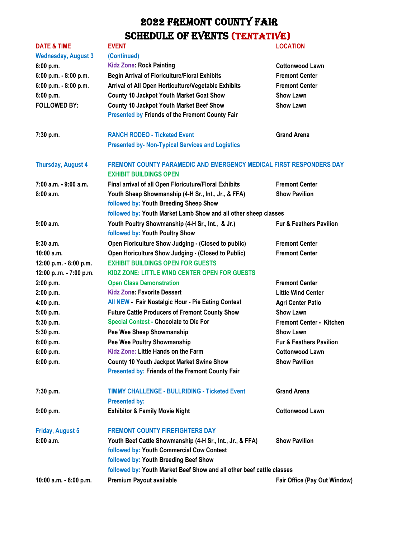| <b>DATE &amp; TIME</b>     | <b>EVENT</b>                                                                                                                                    | <b>LOCATION</b>                                                     |  |
|----------------------------|-------------------------------------------------------------------------------------------------------------------------------------------------|---------------------------------------------------------------------|--|
| <b>Wednesday, August 3</b> | (Continued)                                                                                                                                     |                                                                     |  |
| 6:00 p.m.                  | <b>Kidz Zone: Rock Painting</b>                                                                                                                 | <b>Cottonwood Lawn</b>                                              |  |
| 6:00 p.m. - 8:00 p.m.      | <b>Begin Arrival of Floriculture/Floral Exhibits</b>                                                                                            | <b>Fremont Center</b>                                               |  |
| 6:00 p.m. - 8:00 p.m.      | Arrival of All Open Horticulture/Vegetable Exhibits                                                                                             | <b>Fremont Center</b>                                               |  |
| 6:00 p.m.                  | <b>County 10 Jackpot Youth Market Goat Show</b>                                                                                                 | <b>Show Lawn</b>                                                    |  |
| <b>FOLLOWED BY:</b>        | <b>County 10 Jackpot Youth Market Beef Show</b><br><b>Presented by Friends of the Fremont County Fair</b>                                       | <b>Show Lawn</b>                                                    |  |
| 7:30 p.m.                  | <b>RANCH RODEO - Ticketed Event</b>                                                                                                             | <b>Grand Arena</b>                                                  |  |
|                            | <b>Presented by- Non-Typical Services and Logistics</b>                                                                                         |                                                                     |  |
| <b>Thursday, August 4</b>  | <b>EXHIBIT BUILDINGS OPEN</b>                                                                                                                   | FREMONT COUNTY PARAMEDIC AND EMERGENCY MEDICAL FIRST RESPONDERS DAY |  |
| 7:00 a.m. - 9:00 a.m.      | Final arrival of all Open Floricuture/Floral Exhibits                                                                                           | <b>Fremont Center</b>                                               |  |
| 8:00a.m.                   | Youth Sheep Showmanship (4-H Sr., Int., Jr., & FFA)<br>followed by: Youth Breeding Sheep Show                                                   | <b>Show Pavilion</b>                                                |  |
|                            | followed by: Youth Market Lamb Show and all other sheep classes                                                                                 |                                                                     |  |
| 9:00a.m.                   | Youth Poultry Showmanship (4-H Sr., Int., & Jr.)<br>followed by: Youth Poultry Show                                                             | <b>Fur &amp; Feathers Pavilion</b>                                  |  |
| $9:30$ a.m.                | Open Floriculture Show Judging - (Closed to public)                                                                                             | <b>Fremont Center</b>                                               |  |
| $10:00$ a.m.               | Open Horiculture Show Judging - (Closed to Public)                                                                                              | <b>Fremont Center</b>                                               |  |
| 12:00 p.m. - 8:00 p.m.     | <b>EXHIBIT BUILDINGS OPEN FOR GUESTS</b>                                                                                                        |                                                                     |  |
| 12:00 pm. - 7:00 p.m.      | <b>KIDZ ZONE: LITTLE WIND CENTER OPEN FOR GUESTS</b>                                                                                            |                                                                     |  |
| 2:00 p.m.                  | <b>Open Class Demonstration</b>                                                                                                                 | <b>Fremont Center</b>                                               |  |
| 2:00 p.m.                  | <b>Kidz Zone: Favorite Dessert</b>                                                                                                              | <b>Little Wind Center</b>                                           |  |
| 4:00 p.m.                  | All NEW - Fair Nostalgic Hour - Pie Eating Contest                                                                                              | <b>Agri Center Patio</b>                                            |  |
| 5:00 p.m.                  | <b>Future Cattle Producers of Fremont County Show</b>                                                                                           | <b>Show Lawn</b>                                                    |  |
| 5:30 p.m.                  | <b>Special Contest - Chocolate to Die For</b>                                                                                                   | <b>Fremont Center - Kitchen</b>                                     |  |
| 5:30 p.m.                  | Pee Wee Sheep Showmanship                                                                                                                       | <b>Show Lawn</b>                                                    |  |
| 6:00 p.m.                  | <b>Pee Wee Poultry Showmanship</b>                                                                                                              | Fur & Feathers Pavilion                                             |  |
| 6:00 p.m.                  | Kidz Zone: Little Hands on the Farm                                                                                                             | <b>Cottonwood Lawn</b>                                              |  |
| 6:00 p.m.                  | <b>County 10 Youth Jackpot Market Swine Show</b><br><b>Presented by: Friends of the Fremont County Fair</b>                                     | <b>Show Pavilion</b>                                                |  |
| 7:30 p.m.                  | <b>TIMMY CHALLENGE - BULLRIDING - Ticketed Event</b><br><b>Presented by:</b>                                                                    | <b>Grand Arena</b>                                                  |  |
| 9:00 p.m.                  | <b>Exhibitor &amp; Family Movie Night</b>                                                                                                       | <b>Cottonwood Lawn</b>                                              |  |
| <b>Friday, August 5</b>    | <b>FREMONT COUNTY FIREFIGHTERS DAY</b>                                                                                                          |                                                                     |  |
| 8:00a.m.                   | Youth Beef Cattle Showmanship (4-H Sr., Int., Jr., & FFA)<br>followed by: Youth Commercial Cow Contest<br>followed by: Youth Breeding Beef Show | <b>Show Pavilion</b>                                                |  |
|                            | followed by: Youth Market Beef Show and all other beef cattle classes                                                                           |                                                                     |  |
| 10:00 a.m. - 6:00 p.m.     | Premium Payout available                                                                                                                        | Fair Office (Pay Out Window)                                        |  |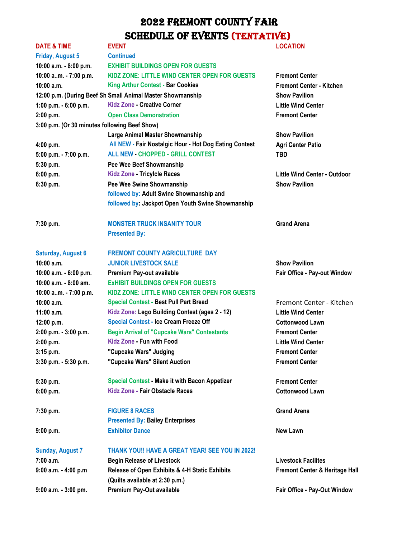|                                                            | <b>LOCATION</b>                                                                                                                                                                                                                                                                                                                             |
|------------------------------------------------------------|---------------------------------------------------------------------------------------------------------------------------------------------------------------------------------------------------------------------------------------------------------------------------------------------------------------------------------------------|
|                                                            |                                                                                                                                                                                                                                                                                                                                             |
|                                                            |                                                                                                                                                                                                                                                                                                                                             |
| KIDZ ZONE: LITTLE WIND CENTER OPEN FOR GUESTS              | <b>Fremont Center</b>                                                                                                                                                                                                                                                                                                                       |
|                                                            | <b>Fremont Center - Kitchen</b>                                                                                                                                                                                                                                                                                                             |
| 12:00 p.m. (During Beef Sh Small Animal Master Showmanship | <b>Show Pavilion</b>                                                                                                                                                                                                                                                                                                                        |
|                                                            | <b>Little Wind Center</b>                                                                                                                                                                                                                                                                                                                   |
| <b>Open Class Demonstration</b>                            | <b>Fremont Center</b>                                                                                                                                                                                                                                                                                                                       |
| 3:00 p.m. (Or 30 minutes following Beef Show)              |                                                                                                                                                                                                                                                                                                                                             |
| <b>Large Animal Master Showmanship</b>                     | <b>Show Pavilion</b>                                                                                                                                                                                                                                                                                                                        |
|                                                            | <b>Agri Center Patio</b>                                                                                                                                                                                                                                                                                                                    |
| <b>ALL NEW - CHOPPED - GRILL CONTEST</b>                   | <b>TBD</b>                                                                                                                                                                                                                                                                                                                                  |
| Pee Wee Beef Showmanship                                   |                                                                                                                                                                                                                                                                                                                                             |
| <b>Kidz Zone - Tricylcle Races</b>                         | Little Wind Center - Outdoor                                                                                                                                                                                                                                                                                                                |
| Pee Wee Swine Showmanship                                  | <b>Show Pavilion</b>                                                                                                                                                                                                                                                                                                                        |
| followed by: Adult Swine Showmanship and                   |                                                                                                                                                                                                                                                                                                                                             |
| followed by: Jackpot Open Youth Swine Showmanship          |                                                                                                                                                                                                                                                                                                                                             |
| <b>MONSTER TRUCK INSANITY TOUR</b>                         | <b>Grand Arena</b>                                                                                                                                                                                                                                                                                                                          |
| <b>Presented By:</b>                                       |                                                                                                                                                                                                                                                                                                                                             |
| <b>FREMONT COUNTY AGRICULTURE DAY</b>                      |                                                                                                                                                                                                                                                                                                                                             |
| <b>JUNIOR LIVESTOCK SALE</b>                               | <b>Show Pavilion</b>                                                                                                                                                                                                                                                                                                                        |
| Premium Pay-out available                                  | Fair Office - Pay-out Window                                                                                                                                                                                                                                                                                                                |
| <b>EXHIBIT BUILDINGS OPEN FOR GUESTS</b>                   |                                                                                                                                                                                                                                                                                                                                             |
| KIDZ ZONE: LITTLE WIND CENTER OPEN FOR GUESTS              |                                                                                                                                                                                                                                                                                                                                             |
| <b>Special Contest - Best Pull Part Bread</b>              | Fremont Center - Kitchen                                                                                                                                                                                                                                                                                                                    |
| Kidz Zone: Lego Building Contest (ages 2 - 12)             | <b>Little Wind Center</b>                                                                                                                                                                                                                                                                                                                   |
| <b>Special Contest - Ice Cream Freeze Off</b>              | <b>Cottonwood Lawn</b>                                                                                                                                                                                                                                                                                                                      |
|                                                            | <b>Fremont Center</b>                                                                                                                                                                                                                                                                                                                       |
| Kidz Zone - Fun with Food                                  | <b>Little Wind Center</b>                                                                                                                                                                                                                                                                                                                   |
|                                                            | <b>Fremont Center</b>                                                                                                                                                                                                                                                                                                                       |
| "Cupcake Wars" Silent Auction                              | <b>Fremont Center</b>                                                                                                                                                                                                                                                                                                                       |
| <b>Special Contest - Make it with Bacon Appetizer</b>      | <b>Fremont Center</b>                                                                                                                                                                                                                                                                                                                       |
| Kidz Zone - Fair Obstacle Races                            | <b>Cottonwood Lawn</b>                                                                                                                                                                                                                                                                                                                      |
| <b>FIGURE 8 RACES</b>                                      | <b>Grand Arena</b>                                                                                                                                                                                                                                                                                                                          |
| <b>Presented By: Bailey Enterprises</b>                    |                                                                                                                                                                                                                                                                                                                                             |
| <b>Exhibitor Dance</b>                                     | New Lawn                                                                                                                                                                                                                                                                                                                                    |
| THANK YOU!! HAVE A GREAT YEAR! SEE YOU IN 2022!            |                                                                                                                                                                                                                                                                                                                                             |
| <b>Begin Release of Livestock</b>                          | <b>Livestock Facilites</b>                                                                                                                                                                                                                                                                                                                  |
| Release of Open Exhibits & 4-H Static Exhibits             | Fremont Center & Heritage Hall                                                                                                                                                                                                                                                                                                              |
| Premium Pay-Out available                                  | Fair Office - Pay-Out Window                                                                                                                                                                                                                                                                                                                |
|                                                            | <b>EVENT</b><br><b>Continued</b><br><b>EXHIBIT BUILDINGS OPEN FOR GUESTS</b><br><b>King Arthur Contest - Bar Cookies</b><br><b>Kidz Zone - Creative Corner</b><br>All NEW - Fair Nostalgic Hour - Hot Dog Eating Contest<br><b>Begin Arrival of "Cupcake Wars" Contestants</b><br>"Cupcake Wars" Judging<br>(Quilts available at 2:30 p.m.) |